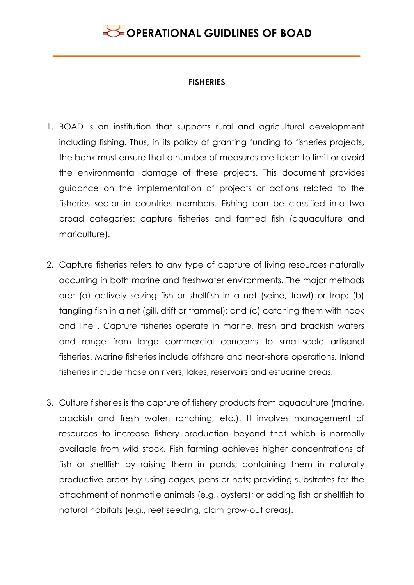#### **FISHERIES**

- 1. BOAD is an institution that supports rural and agricultural development including fishing. Thus, in its policy of granting funding to fisheries projects, the bank must ensure that a number of measures are taken to limit or avoid the environmental damage of these projects. This document provides guidance on the implementation of projects or actions related to the fisheries sector in countries members. Fishing can be classified into two broad categories: capture fisheries and farmed fish (aquaculture and mariculture).
- 2. Capture fisheries refers to any type of capture of living resources naturally occurring in both marine and freshwater environments. The major methods are: (a) actively seizing fish or shellfish in a net (seine, trawl) or trap; (b) tangling fish in a net (gill, drift or trammel); and (c) catching them with hook and line . Capture fisheries operate in marine, fresh and brackish waters and range from large commercial concerns to small-scale artisanal fisheries. Marine fisheries include offshore and near-shore operations. Inland fisheries include those on rivers, lakes, reservoirs and estuarine areas.
- 3. Culture fisheries is the capture of fishery products from aquaculture (marine, brackish and fresh water, ranching, etc.). It involves management of resources to increase fishery production beyond that which is normally available from wild stock. Fish farming achieves higher concentrations of fish or shellfish by raising them in ponds; containing them in naturally productive areas by using cages, pens or nets; providing substrates for the attachment of nonmotile animals (e.g., oysters); or adding fish or shellfish to natural habitats (e.g., reef seeding, clam grow-out areas).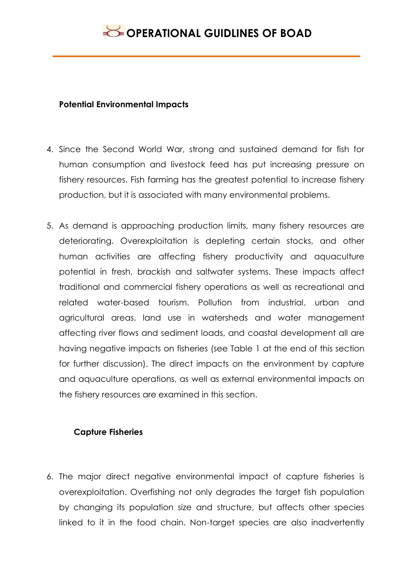#### **Potential Environmental Impacts**

- 4. Since the Second World War, strong and sustained demand for fish for human consumption and livestock feed has put increasing pressure on fishery resources. Fish farming has the greatest potential to increase fishery production, but it is associated with many environmental problems.
- 5. As demand is approaching production limits, many fishery resources are deteriorating. Overexploitation is depleting certain stocks, and other human activities are affecting fishery productivity and aquaculture potential in fresh, brackish and saltwater systems. These impacts affect traditional and commercial fishery operations as well as recreational and related water-based tourism. Pollution from industrial, urban and agricultural areas, land use in watersheds and water management affecting river flows and sediment loads, and coastal development all are having negative impacts on fisheries (see Table 1 at the end of this section for further discussion). The direct impacts on the environment by capture and aquaculture operations, as well as external environmental impacts on the fishery resources are examined in this section.

### **Capture Fisheries**

6. The major direct negative environmental impact of capture fisheries is overexploitation. Overfishing not only degrades the target fish population by changing its population size and structure, but affects other species linked to it in the food chain. Non-target species are also inadvertently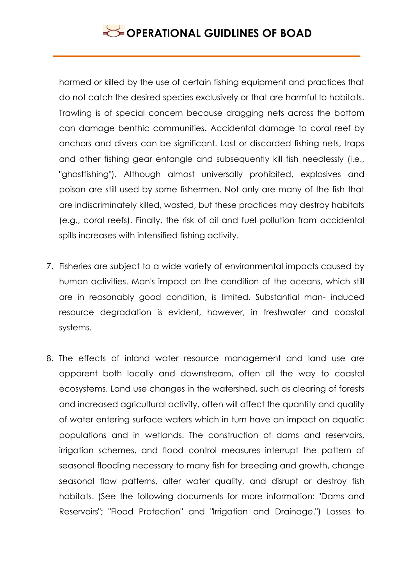harmed or killed by the use of certain fishing equipment and practices that do not catch the desired species exclusively or that are harmful to habitats. Trawling is of special concern because dragging nets across the bottom can damage benthic communities. Accidental damage to coral reef by anchors and divers can be significant. Lost or discarded fishing nets, traps and other fishing gear entangle and subsequently kill fish needlessly (i.e., "ghostfishing"). Although almost universally prohibited, explosives and poison are still used by some fishermen. Not only are many of the fish that are indiscriminately killed, wasted, but these practices may destroy habitats (e.g., coral reefs). Finally, the risk of oil and fuel pollution from accidental spills increases with intensified fishing activity.

- 7. Fisheries are subject to a wide variety of environmental impacts caused by human activities. Man's impact on the condition of the oceans, which still are in reasonably good condition, is limited. Substantial man- induced resource degradation is evident, however, in freshwater and coastal systems.
- 8. The effects of inland water resource management and land use are apparent both locally and downstream, often all the way to coastal ecosystems. Land use changes in the watershed, such as clearing of forests and increased agricultural activity, often will affect the quantity and quality of water entering surface waters which in turn have an impact on aquatic populations and in wetlands. The construction of dams and reservoirs, irrigation schemes, and flood control measures interrupt the pattern of seasonal flooding necessary to many fish for breeding and growth, change seasonal flow patterns, alter water quality, and disrupt or destroy fish habitats. (See the following documents for more information: "Dams and Reservoirs"; "Flood Protection" and "Irrigation and Drainage.") Losses to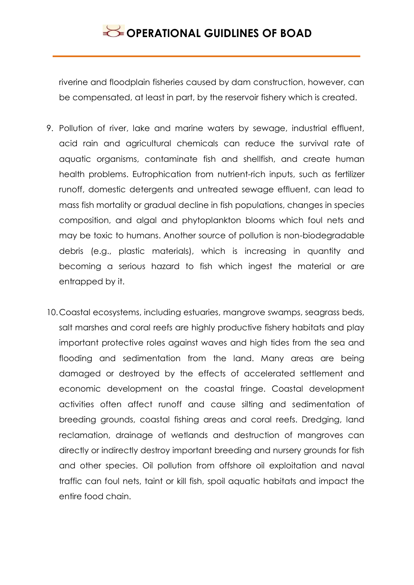riverine and floodplain fisheries caused by dam construction, however, can be compensated, at least in part, by the reservoir fishery which is created.

- 9. Pollution of river, lake and marine waters by sewage, industrial effluent, acid rain and agricultural chemicals can reduce the survival rate of aquatic organisms, contaminate fish and shellfish, and create human health problems. Eutrophication from nutrient-rich inputs, such as fertilizer runoff, domestic detergents and untreated sewage effluent, can lead to mass fish mortality or gradual decline in fish populations, changes in species composition, and algal and phytoplankton blooms which foul nets and may be toxic to humans. Another source of pollution is non-biodegradable debris (e.g., plastic materials), which is increasing in quantity and becoming a serious hazard to fish which ingest the material or are entrapped by it.
- 10.Coastal ecosystems, including estuaries, mangrove swamps, seagrass beds, salt marshes and coral reefs are highly productive fishery habitats and play important protective roles against waves and high tides from the sea and flooding and sedimentation from the land. Many areas are being damaged or destroyed by the effects of accelerated settlement and economic development on the coastal fringe. Coastal development activities often affect runoff and cause silting and sedimentation of breeding grounds, coastal fishing areas and coral reefs. Dredging, land reclamation, drainage of wetlands and destruction of mangroves can directly or indirectly destroy important breeding and nursery grounds for fish and other species. Oil pollution from offshore oil exploitation and naval traffic can foul nets, taint or kill fish, spoil aquatic habitats and impact the entire food chain.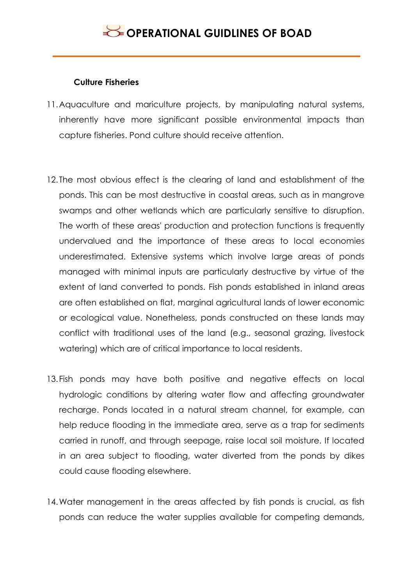#### **Culture Fisheries**

- 11.Aquaculture and mariculture projects, by manipulating natural systems, inherently have more significant possible environmental impacts than capture fisheries. Pond culture should receive attention.
- 12. The most obvious effect is the clearing of land and establishment of the ponds. This can be most destructive in coastal areas, such as in mangrove swamps and other wetlands which are particularly sensitive to disruption. The worth of these areas' production and protection functions is frequently undervalued and the importance of these areas to local economies underestimated. Extensive systems which involve large areas of ponds managed with minimal inputs are particularly destructive by virtue of the extent of land converted to ponds. Fish ponds established in inland areas are often established on flat, marginal agricultural lands of lower economic or ecological value. Nonetheless, ponds constructed on these lands may conflict with traditional uses of the land (e.g., seasonal grazing, livestock watering) which are of critical importance to local residents.
- 13.Fish ponds may have both positive and negative effects on local hydrologic conditions by altering water flow and affecting groundwater recharge. Ponds located in a natural stream channel, for example, can help reduce flooding in the immediate area, serve as a trap for sediments carried in runoff, and through seepage, raise local soil moisture. If located in an area subject to flooding, water diverted from the ponds by dikes could cause flooding elsewhere.
- 14.Water management in the areas affected by fish ponds is crucial, as fish ponds can reduce the water supplies available for competing demands,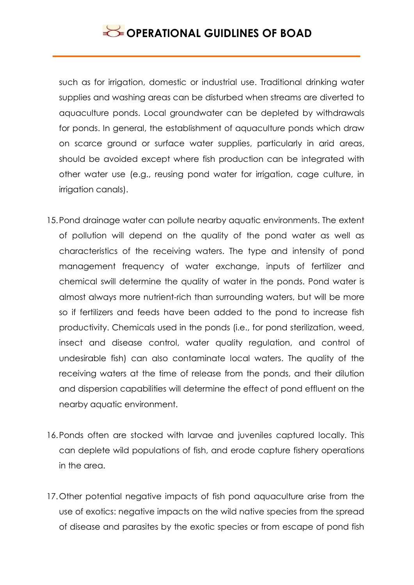such as for irrigation, domestic or industrial use. Traditional drinking water supplies and washing areas can be disturbed when streams are diverted to aquaculture ponds. Local groundwater can be depleted by withdrawals for ponds. In general, the establishment of aquaculture ponds which draw on scarce ground or surface water supplies, particularly in arid areas, should be avoided except where fish production can be integrated with other water use (e.g., reusing pond water for irrigation, cage culture, in irrigation canals).

- 15.Pond drainage water can pollute nearby aquatic environments. The extent of pollution will depend on the quality of the pond water as well as characteristics of the receiving waters. The type and intensity of pond management frequency of water exchange, inputs of fertilizer and chemical swill determine the quality of water in the ponds. Pond water is almost always more nutrient-rich than surrounding waters, but will be more so if fertilizers and feeds have been added to the pond to increase fish productivity. Chemicals used in the ponds (i.e., for pond sterilization, weed, insect and disease control, water quality regulation, and control of undesirable fish) can also contaminate local waters. The quality of the receiving waters at the time of release from the ponds, and their dilution and dispersion capabilities will determine the effect of pond effluent on the nearby aquatic environment.
- 16.Ponds often are stocked with larvae and juveniles captured locally. This can deplete wild populations of fish, and erode capture fishery operations in the area.
- 17.Other potential negative impacts of fish pond aquaculture arise from the use of exotics: negative impacts on the wild native species from the spread of disease and parasites by the exotic species or from escape of pond fish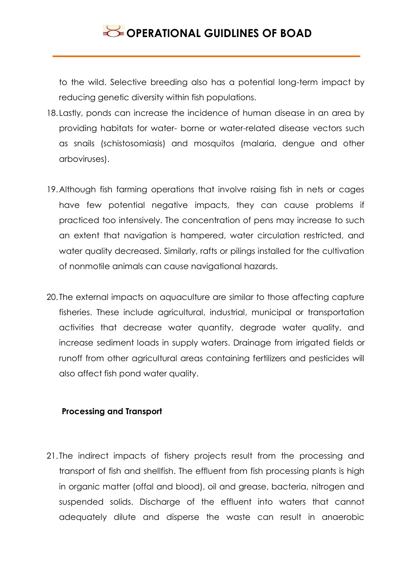to the wild. Selective breeding also has a potential long-term impact by reducing genetic diversity within fish populations.

- 18.Lastly, ponds can increase the incidence of human disease in an area by providing habitats for water- borne or water-related disease vectors such as snails (schistosomiasis) and mosquitos (malaria, dengue and other arboviruses).
- 19.Although fish farming operations that involve raising fish in nets or cages have few potential negative impacts, they can cause problems if practiced too intensively. The concentration of pens may increase to such an extent that navigation is hampered, water circulation restricted, and water quality decreased. Similarly, rafts or pilings installed for the cultivation of nonmotile animals can cause navigational hazards.
- 20. The external impacts on aquaculture are similar to those affecting capture fisheries. These include agricultural, industrial, municipal or transportation activities that decrease water quantity, degrade water quality, and increase sediment loads in supply waters. Drainage from irrigated fields or runoff from other agricultural areas containing fertilizers and pesticides will also affect fish pond water quality.

#### **Processing and Transport**

21. The indirect impacts of fishery projects result from the processing and transport of fish and shellfish. The effluent from fish processing plants is high in organic matter (offal and blood), oil and grease, bacteria, nitrogen and suspended solids. Discharge of the effluent into waters that cannot adequately dilute and disperse the waste can result in anaerobic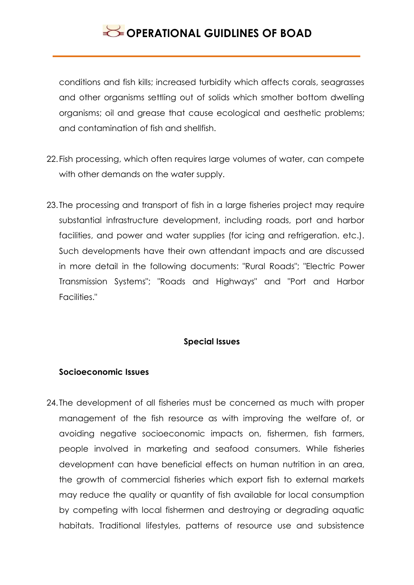conditions and fish kills; increased turbidity which affects corals, seagrasses and other organisms settling out of solids which smother bottom dwelling organisms; oil and grease that cause ecological and aesthetic problems; and contamination of fish and shellfish.

- 22.Fish processing, which often requires large volumes of water, can compete with other demands on the water supply.
- 23. The processing and transport of fish in a large fisheries project may require substantial infrastructure development, including roads, port and harbor facilities, and power and water supplies (for icing and refrigeration. etc.). Such developments have their own attendant impacts and are discussed in more detail in the following documents: "Rural Roads"; "Electric Power Transmission Systems"; "Roads and Highways" and "Port and Harbor Facilities."

### **Special Issues**

#### **Socioeconomic Issues**

24. The development of all fisheries must be concerned as much with proper management of the fish resource as with improving the welfare of, or avoiding negative socioeconomic impacts on, fishermen, fish farmers, people involved in marketing and seafood consumers. While fisheries development can have beneficial effects on human nutrition in an area, the growth of commercial fisheries which export fish to external markets may reduce the quality or quantity of fish available for local consumption by competing with local fishermen and destroying or degrading aquatic habitats. Traditional lifestyles, patterns of resource use and subsistence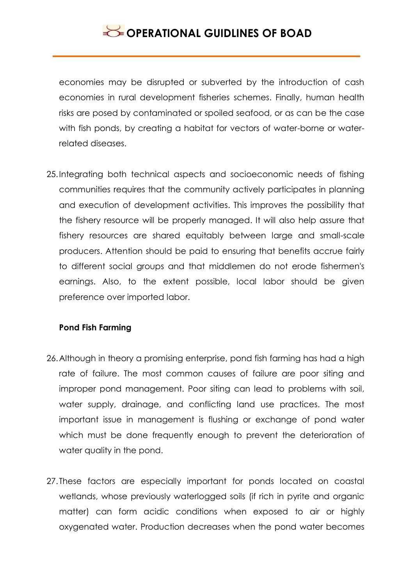economies may be disrupted or subverted by the introduction of cash economies in rural development fisheries schemes. Finally, human health risks are posed by contaminated or spoiled seafood, or as can be the case with fish ponds, by creating a habitat for vectors of water-borne or waterrelated diseases.

25.Integrating both technical aspects and socioeconomic needs of fishing communities requires that the community actively participates in planning and execution of development activities. This improves the possibility that the fishery resource will be properly managed. It will also help assure that fishery resources are shared equitably between large and small-scale producers. Attention should be paid to ensuring that benefits accrue fairly to different social groups and that middlemen do not erode fishermen's earnings. Also, to the extent possible, local labor should be given preference over imported labor.

#### **Pond Fish Farming**

- 26.Although in theory a promising enterprise, pond fish farming has had a high rate of failure. The most common causes of failure are poor siting and improper pond management. Poor siting can lead to problems with soil, water supply, drainage, and conflicting land use practices. The most important issue in management is flushing or exchange of pond water which must be done frequently enough to prevent the deterioration of water quality in the pond.
- 27. These factors are especially important for ponds located on coastal wetlands, whose previously waterlogged soils (if rich in pyrite and organic matter) can form acidic conditions when exposed to air or highly oxygenated water. Production decreases when the pond water becomes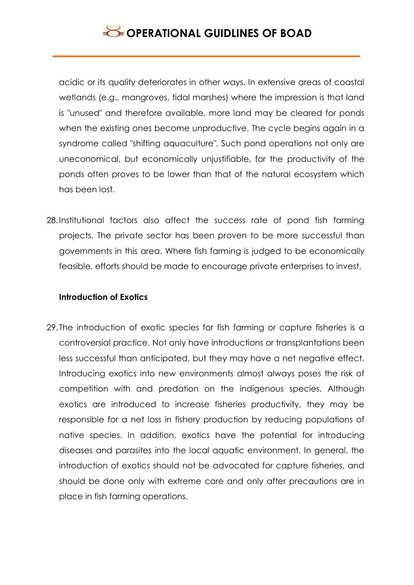acidic or its quality deteriorates in other ways. In extensive areas of coastal wetlands (e.g., mangroves, tidal marshes) where the impression is that land is "unused" and therefore available, more land may be cleared for ponds when the existing ones become unproductive. The cycle begins again in a syndrome called "shifting aquaculture". Such pond operations not only are uneconomical, but economically unjustifiable, for the productivity of the ponds often proves to be lower than that of the natural ecosystem which has been lost.

28.Institutional factors also affect the success rate of pond fish farming projects. The private sector has been proven to be more successful than governments in this area. Where fish farming is judged to be economically feasible, efforts should be made to encourage private enterprises to invest.

#### **Introduction of Exotics**

29. The introduction of exotic species for fish farming or capture fisheries is a controversial practice. Not only have introductions or transplantations been less successful than anticipated, but they may have a net negative effect. Introducing exotics into new environments almost always poses the risk of competition with and predation on the indigenous species. Although exotics are introduced to increase fisheries productivity, they may be responsible for a net loss in fishery production by reducing populations of native species. In addition, exotics have the potential for introducing diseases and parasites into the local aquatic environment. In general, the introduction of exotics should not be advocated for capture fisheries, and should be done only with extreme care and only after precautions are in place in fish farming operations.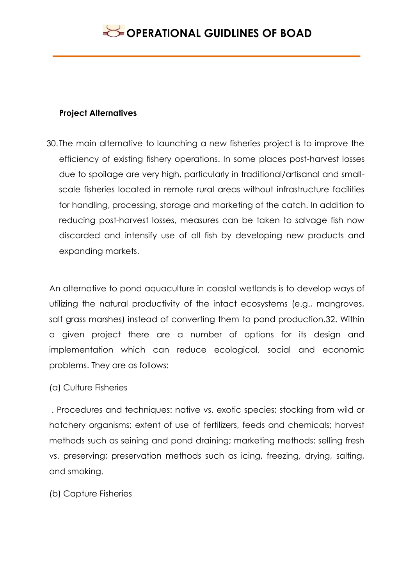#### **Project Alternatives**

30. The main alternative to launching a new fisheries project is to improve the efficiency of existing fishery operations. In some places post-harvest losses due to spoilage are very high, particularly in traditional/artisanal and smallscale fisheries located in remote rural areas without infrastructure facilities for handling, processing, storage and marketing of the catch. In addition to reducing post-harvest losses, measures can be taken to salvage fish now discarded and intensify use of all fish by developing new products and expanding markets.

An alternative to pond aquaculture in coastal wetlands is to develop ways of utilizing the natural productivity of the intact ecosystems (e.g., mangroves, salt grass marshes) instead of converting them to pond production.32. Within a given project there are a number of options for its design and implementation which can reduce ecological, social and economic problems. They are as follows:

### (a) Culture Fisheries

. Procedures and techniques: native vs. exotic species; stocking from wild or hatchery organisms; extent of use of fertilizers, feeds and chemicals; harvest methods such as seining and pond draining; marketing methods; selling fresh vs. preserving; preservation methods such as icing, freezing, drying, salting, and smoking.

(b) Capture Fisheries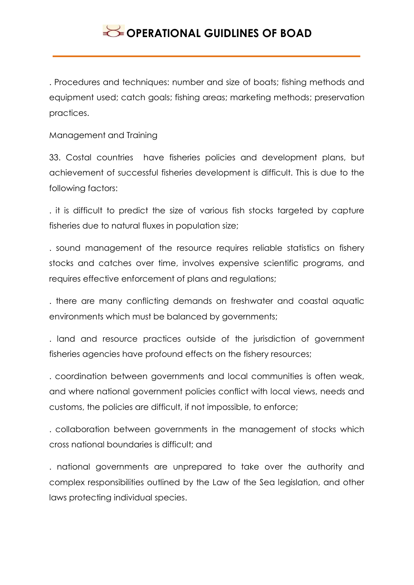. Procedures and techniques: number and size of boats; fishing methods and equipment used; catch goals; fishing areas; marketing methods; preservation practices.

Management and Training

33. Costal countries have fisheries policies and development plans, but achievement of successful fisheries development is difficult. This is due to the following factors:

. it is difficult to predict the size of various fish stocks targeted by capture fisheries due to natural fluxes in population size;

. sound management of the resource requires reliable statistics on fishery stocks and catches over time, involves expensive scientific programs, and requires effective enforcement of plans and regulations;

. there are many conflicting demands on freshwater and coastal aquatic environments which must be balanced by governments;

. land and resource practices outside of the jurisdiction of government fisheries agencies have profound effects on the fishery resources;

. coordination between governments and local communities is often weak, and where national government policies conflict with local views, needs and customs, the policies are difficult, if not impossible, to enforce;

. collaboration between governments in the management of stocks which cross national boundaries is difficult; and

. national governments are unprepared to take over the authority and complex responsibilities outlined by the Law of the Sea legislation, and other laws protecting individual species.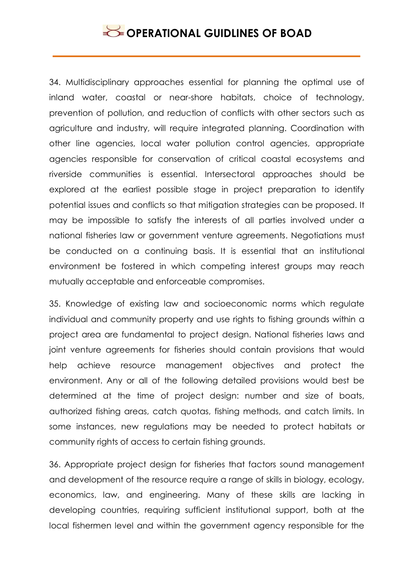34. Multidisciplinary approaches essential for planning the optimal use of inland water, coastal or near-shore habitats, choice of technology, prevention of pollution, and reduction of conflicts with other sectors such as agriculture and industry, will require integrated planning. Coordination with other line agencies, local water pollution control agencies, appropriate agencies responsible for conservation of critical coastal ecosystems and riverside communities is essential. Intersectoral approaches should be explored at the earliest possible stage in project preparation to identify potential issues and conflicts so that mitigation strategies can be proposed. It may be impossible to satisfy the interests of all parties involved under a national fisheries law or government venture agreements. Negotiations must be conducted on a continuing basis. It is essential that an institutional environment be fostered in which competing interest groups may reach mutually acceptable and enforceable compromises.

35. Knowledge of existing law and socioeconomic norms which regulate individual and community property and use rights to fishing grounds within a project area are fundamental to project design. National fisheries laws and joint venture agreements for fisheries should contain provisions that would help achieve resource management objectives and protect the environment. Any or all of the following detailed provisions would best be determined at the time of project design: number and size of boats, authorized fishing areas, catch quotas, fishing methods, and catch limits. In some instances, new regulations may be needed to protect habitats or community rights of access to certain fishing grounds.

36. Appropriate project design for fisheries that factors sound management and development of the resource require a range of skills in biology, ecology, economics, law, and engineering. Many of these skills are lacking in developing countries, requiring sufficient institutional support, both at the local fishermen level and within the government agency responsible for the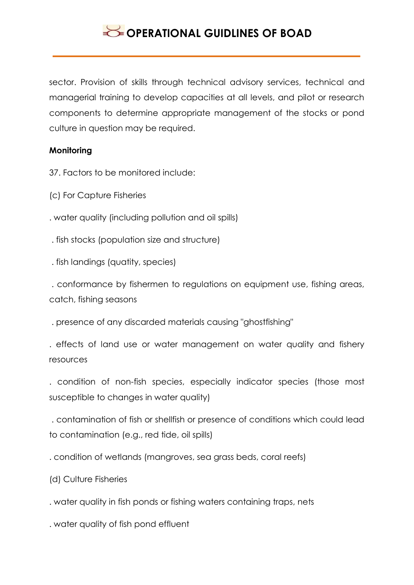sector. Provision of skills through technical advisory services, technical and managerial training to develop capacities at all levels, and pilot or research components to determine appropriate management of the stocks or pond culture in question may be required.

### **Monitoring**

37. Factors to be monitored include:

(c) For Capture Fisheries

. water quality (including pollution and oil spills)

. fish stocks (population size and structure)

. fish landings (quatity, species)

. conformance by fishermen to regulations on equipment use, fishing areas, catch, fishing seasons

. presence of any discarded materials causing "ghostfishing"

. effects of land use or water management on water quality and fishery resources

. condition of non-fish species, especially indicator species (those most susceptible to changes in water quality)

. contamination of fish or shellfish or presence of conditions which could lead to contamination (e.g., red tide, oil spills)

. condition of wetlands (mangroves, sea grass beds, coral reefs)

(d) Culture Fisheries

. water quality in fish ponds or fishing waters containing traps, nets

. water quality of fish pond effluent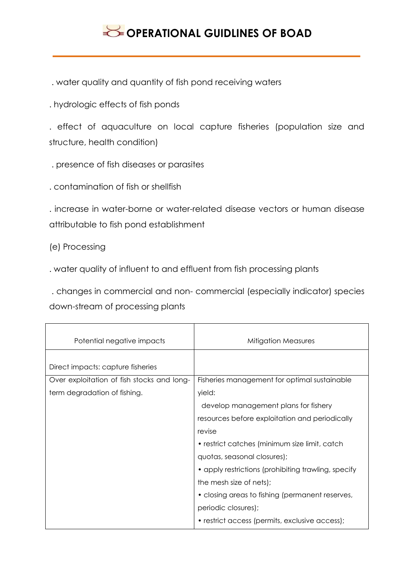. water quality and quantity of fish pond receiving waters

. hydrologic effects of fish ponds

. effect of aquaculture on local capture fisheries (population size and structure, health condition)

. presence of fish diseases or parasites

. contamination of fish or shellfish

. increase in water-borne or water-related disease vectors or human disease attributable to fish pond establishment

(e) Processing

. water quality of influent to and effluent from fish processing plants

. changes in commercial and non- commercial (especially indicator) species down-stream of processing plants

| Potential negative impacts                 | Mitigation Measures                                 |
|--------------------------------------------|-----------------------------------------------------|
| Direct impacts: capture fisheries          |                                                     |
| Over exploitation of fish stocks and long- | Fisheries management for optimal sustainable        |
| term degradation of fishing.               | yield:                                              |
|                                            | develop management plans for fishery                |
|                                            | resources before exploitation and periodically      |
|                                            | revise                                              |
|                                            | • restrict catches (minimum size limit, catch       |
|                                            | quotas, seasonal closures);                         |
|                                            | • apply restrictions (prohibiting trawling, specify |
|                                            | the mesh size of nets);                             |
|                                            | • closing areas to fishing (permanent reserves,     |
|                                            | periodic closures);                                 |
|                                            | • restrict access (permits, exclusive access);      |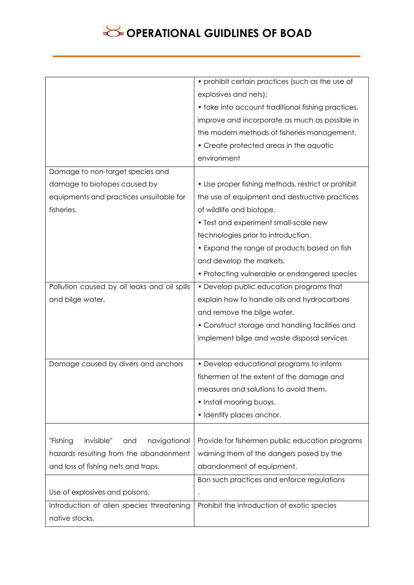|                                               | • prohibit certain practices (such as the use of   |
|-----------------------------------------------|----------------------------------------------------|
|                                               | explosives and nets);                              |
|                                               | • take into account traditional fishing practices, |
|                                               | improve and incorporate as much as possible in     |
|                                               | the modern methods of fisheries management.        |
|                                               | • Create protected areas in the aquatic            |
|                                               | environment                                        |
| Damage to non-target species and              |                                                    |
| damage to biotopes caused by                  | • Use proper fishing methods, restrict or prohibit |
| equipments and practices unsuitable for       | the use of equipment and destructive practices     |
| fisheries.                                    | of wildlife and biotope.                           |
|                                               | • Test and experiment small-scale new              |
|                                               | technologies prior to introduction.                |
|                                               | • Expand the range of products based on fish       |
|                                               | and develop the markets.                           |
|                                               | • Protecting vulnerable or endangered species      |
| Pollution caused by oil leaks and oil spills  | • Develop public education programs that           |
| and bilge water.                              | explain how to handle oils and hydrocarbons        |
|                                               | and remove the bilge water.                        |
|                                               | • Construct storage and handling facilities and    |
|                                               | implement bilge and waste disposal services        |
|                                               |                                                    |
| Damage caused by divers and anchors           | • Develop educational programs to inform           |
|                                               | fishermen of the extent of the damage and          |
|                                               | measures and solutions to avoid them.              |
|                                               | • Install mooring buoys.                           |
|                                               | • Identify places anchor.                          |
|                                               |                                                    |
| navigational<br>"Fishing<br>invisible"<br>and | Provide for fishermen public education programs    |
| hazards resulting from the abandonment        | warning them of the dangers posed by the           |
| and loss of fishing nets and traps.           | abandonment of equipment.                          |
|                                               | Ban such practices and enforce regulations         |
| Use of explosives and poisons.                | $\bullet$                                          |
| Introduction of alien species threatening     | Prohibit the introduction of exotic species        |
| native stocks.                                |                                                    |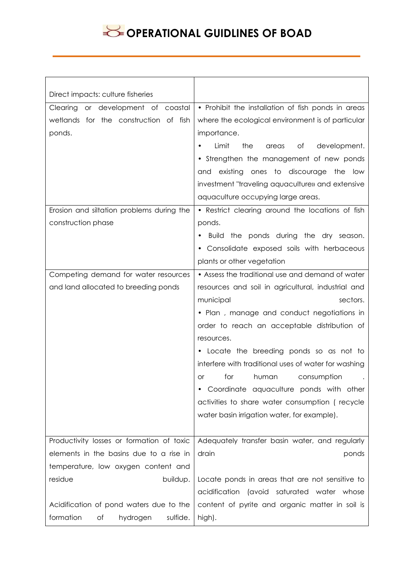| Direct impacts: culture fisheries         |                                                      |
|-------------------------------------------|------------------------------------------------------|
| or development of coastal<br>Clearing     | • Prohibit the installation of fish ponds in areas   |
| wetlands for the construction of fish     | where the ecological environment is of particular    |
| ponds.                                    | importance.                                          |
|                                           | Limit<br>the<br>Оf<br>development.<br>areas          |
|                                           | • Strengthen the management of new ponds             |
|                                           | and existing ones to discourage the low              |
|                                           | investment "traveling aquaculture» and extensive     |
|                                           | aquaculture occupying large areas.                   |
| Erosion and siltation problems during the | • Restrict clearing around the locations of fish     |
| construction phase                        | ponds.                                               |
|                                           |                                                      |
|                                           | Build the ponds during the dry season.               |
|                                           | • Consolidate exposed soils with herbaceous          |
|                                           | plants or other vegetation                           |
| Competing demand for water resources      | • Assess the traditional use and demand of water     |
| and land allocated to breeding ponds      | resources and soil in agricultural, industrial and   |
|                                           | municipal<br>sectors.                                |
|                                           | • Plan, manage and conduct negotiations in           |
|                                           | order to reach an acceptable distribution of         |
|                                           | resources.                                           |
|                                           | • Locate the breeding ponds so as not to             |
|                                           | interfere with traditional uses of water for washing |
|                                           | for<br>human<br>consumption<br><b>or</b>             |
|                                           | Coordinate aquaculture ponds with other              |
|                                           | activities to share water consumption (recycle       |
|                                           | water basin irrigation water, for example).          |
|                                           |                                                      |
| Productivity losses or formation of toxic | Adequately transfer basin water, and regularly       |
| elements in the basins due to a rise in   | drain<br>ponds                                       |
| temperature, low oxygen content and       |                                                      |
| residue<br>buildup.                       | Locate ponds in areas that are not sensitive to      |
|                                           | (avoid saturated water whose<br>acidification        |
| Acidification of pond waters due to the   | content of pyrite and organic matter in soil is      |
| formation<br>sulfide.<br>Οf<br>hydrogen   | high).                                               |
|                                           |                                                      |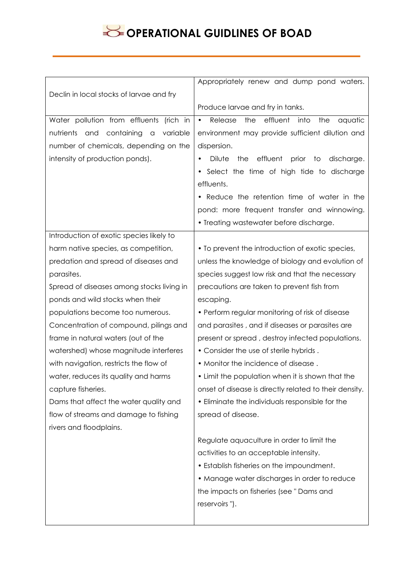|                                                              | Appropriately renew and dump pond waters.                         |
|--------------------------------------------------------------|-------------------------------------------------------------------|
| Declin in local stocks of larvae and fry                     |                                                                   |
|                                                              | Produce larvae and fry in tanks.                                  |
| Water pollution from effluents (rich in                      | effluent<br>Release<br>the<br>into<br>the<br>aquatic<br>$\bullet$ |
| containing<br>nutrients<br>and<br>variable<br>$\hbox{\tt C}$ | environment may provide sufficient dilution and                   |
| number of chemicals, depending on the                        | dispersion.                                                       |
| intensity of production ponds).                              | Dilute<br>effluent<br>the<br>prior<br>to<br>discharge.            |
|                                                              | Select the time of high tide to discharge                         |
|                                                              | effluents.                                                        |
|                                                              | Reduce the retention time of water in the                         |
|                                                              | pond: more frequent transfer and winnowing.                       |
|                                                              | • Treating wastewater before discharge.                           |
| Introduction of exotic species likely to                     |                                                                   |
| harm native species, as competition,                         | • To prevent the introduction of exotic species,                  |
| predation and spread of diseases and                         | unless the knowledge of biology and evolution of                  |
| parasites.                                                   | species suggest low risk and that the necessary                   |
| Spread of diseases among stocks living in                    | precautions are taken to prevent fish from                        |
| ponds and wild stocks when their                             | escaping.                                                         |
|                                                              |                                                                   |
| populations become too numerous.                             | • Perform regular monitoring of risk of disease                   |
| Concentration of compound, pilings and                       | and parasites, and if diseases or parasites are                   |
| frame in natural waters (out of the                          | present or spread, destroy infected populations.                  |
| watershed) whose magnitude interferes                        | . Consider the use of sterile hybrids.                            |
| with navigation, restricts the flow of                       | . Monitor the incidence of disease.                               |
| water, reduces its quality and harms                         | • Limit the population when it is shown that the                  |
| capture fisheries.                                           | onset of disease is directly related to their density.            |
| Dams that affect the water quality and                       | • Eliminate the individuals responsible for the                   |
| flow of streams and damage to fishing                        | spread of disease.                                                |
| rivers and floodplains.                                      |                                                                   |
|                                                              | Regulate aquaculture in order to limit the                        |
|                                                              | activities to an acceptable intensity.                            |
|                                                              | • Establish fisheries on the impoundment.                         |
|                                                              | • Manage water discharges in order to reduce                      |
|                                                              | the impacts on fisheries (see "Dams and                           |
|                                                              | reservoirs").                                                     |
|                                                              |                                                                   |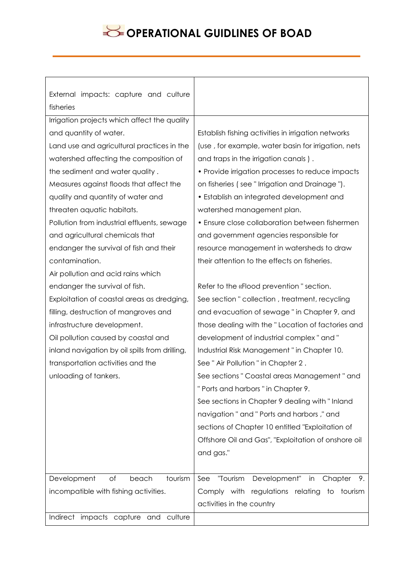| External impacts: capture and culture          |                                                     |
|------------------------------------------------|-----------------------------------------------------|
| fisheries                                      |                                                     |
| Irrigation projects which affect the quality   |                                                     |
| and quantity of water.                         | Establish fishing activities in irrigation networks |
| Land use and agricultural practices in the     | (use, for example, water basin for irrigation, nets |
| watershed affecting the composition of         | and traps in the irrigation canals).                |
| the sediment and water quality.                | • Provide irrigation processes to reduce impacts    |
| Measures against floods that affect the        | on fisheries (see "Irrigation and Drainage").       |
| quality and quantity of water and              | • Establish an integrated development and           |
| threaten aquatic habitats.                     | watershed management plan.                          |
| Pollution from industrial effluents, sewage    | • Ensure close collaboration between fishermen      |
| and agricultural chemicals that                | and government agencies responsible for             |
| endanger the survival of fish and their        | resource management in watersheds to draw           |
| contamination.                                 | their attention to the effects on fisheries.        |
| Air pollution and acid rains which             |                                                     |
| endanger the survival of fish.                 | Refer to the «Flood prevention" section.            |
| Exploitation of coastal areas as dredging,     | See section " collection, treatment, recycling      |
| filling, destruction of mangroves and          | and evacuation of sewage" in Chapter 9, and         |
| infrastructure development.                    | those dealing with the "Location of factories and   |
| Oil pollution caused by coastal and            | development of industrial complex" and"             |
| inland navigation by oil spills from drilling, | Industrial Risk Management" in Chapter 10.          |
| transportation activities and the              | See" Air Pollution" in Chapter 2.                   |
| unloading of tankers.                          | See sections " Coastal areas Management " and       |
|                                                | "Ports and harbors" in Chapter 9.                   |
|                                                | See sections in Chapter 9 dealing with "Inland      |
|                                                | navigation" and "Ports and harbors," and            |
|                                                | sections of Chapter 10 entitled "Exploitation of    |
|                                                | Offshore Oil and Gas", "Exploitation of onshore oil |
|                                                | and gas."                                           |
|                                                |                                                     |
| Development<br>of<br>beach<br>tourism          | Development" in<br>"Tourism<br>See<br>Chapter<br>9. |
| incompatible with fishing activities.          | Comply with regulations relating to tourism         |
|                                                | activities in the country                           |
| Indirect impacts capture and culture           |                                                     |